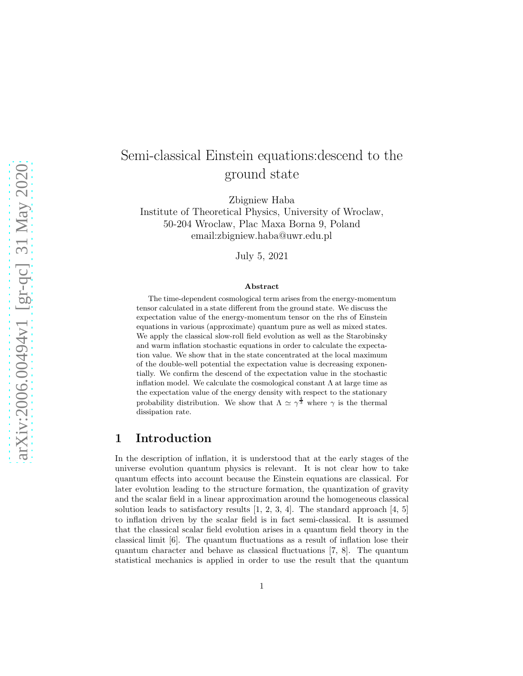# Semi-classical Einstein equations:descend to the ground state

Zbigniew Haba

Institute of Theoretical Physics, University of Wroclaw, 50-204 Wroclaw, Plac Maxa Borna 9, Poland email:zbigniew.haba@uwr.edu.pl

July 5, 2021

#### Abstract

The time-dependent cosmological term arises from the energy-momentum tensor calculated in a state different from the ground state. We discuss the expectation value of the energy-momentum tensor on the rhs of Einstein equations in various (approximate) quantum pure as well as mixed states. We apply the classical slow-roll field evolution as well as the Starobinsky and warm inflation stochastic equations in order to calculate the expectation value. We show that in the state concentrated at the local maximum of the double-well potential the expectation value is decreasing exponentially. We confirm the descend of the expectation value in the stochastic inflation model. We calculate the cosmological constant  $\Lambda$  at large time as the expectation value of the energy density with respect to the stationary probability distribution. We show that  $\Lambda \simeq \gamma^{\frac{4}{3}}$  where  $\gamma$  is the thermal dissipation rate.

### 1 Introduction

In the description of inflation, it is understood that at the early stages of the universe evolution quantum physics is relevant. It is not clear how to take quantum effects into account because the Einstein equations are classical. For later evolution leading to the structure formation, the quantization of gravity and the scalar field in a linear approximation around the homogeneous classical solution leads to satisfactory results  $[1, 2, 3, 4]$ . The standard approach  $[4, 5]$ to inflation driven by the scalar field is in fact semi-classical. It is assumed that the classical scalar field evolution arises in a quantum field theory in the classical limit [6]. The quantum fluctuations as a result of inflation lose their quantum character and behave as classical fluctuations [7, 8]. The quantum statistical mechanics is applied in order to use the result that the quantum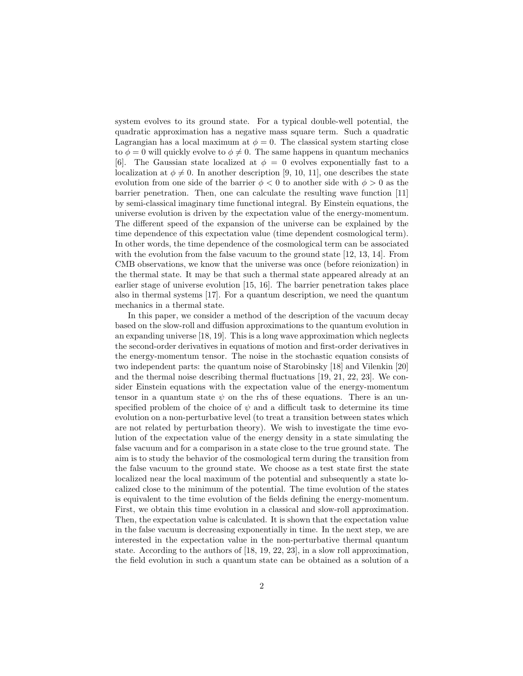system evolves to its ground state. For a typical double-well potential, the quadratic approximation has a negative mass square term. Such a quadratic Lagrangian has a local maximum at  $\phi = 0$ . The classical system starting close to  $\phi = 0$  will quickly evolve to  $\phi \neq 0$ . The same happens in quantum mechanics [6]. The Gaussian state localized at  $\phi = 0$  evolves exponentially fast to a localization at  $\phi \neq 0$ . In another description [9, 10, 11], one describes the state evolution from one side of the barrier  $\phi < 0$  to another side with  $\phi > 0$  as the barrier penetration. Then, one can calculate the resulting wave function [11] by semi-classical imaginary time functional integral. By Einstein equations, the universe evolution is driven by the expectation value of the energy-momentum. The different speed of the expansion of the universe can be explained by the time dependence of this expectation value (time dependent cosmological term). In other words, the time dependence of the cosmological term can be associated with the evolution from the false vacuum to the ground state [12, 13, 14]. From CMB observations, we know that the universe was once (before reionization) in the thermal state. It may be that such a thermal state appeared already at an earlier stage of universe evolution [15, 16]. The barrier penetration takes place also in thermal systems [17]. For a quantum description, we need the quantum mechanics in a thermal state.

In this paper, we consider a method of the description of the vacuum decay based on the slow-roll and diffusion approximations to the quantum evolution in an expanding universe [18, 19]. This is a long wave approximation which neglects the second-order derivatives in equations of motion and first-order derivatives in the energy-momentum tensor. The noise in the stochastic equation consists of two independent parts: the quantum noise of Starobinsky [18] and Vilenkin [20] and the thermal noise describing thermal fluctuations [19, 21, 22, 23]. We consider Einstein equations with the expectation value of the energy-momentum tensor in a quantum state  $\psi$  on the rhs of these equations. There is an unspecified problem of the choice of  $\psi$  and a difficult task to determine its time evolution on a non-perturbative level (to treat a transition between states which are not related by perturbation theory). We wish to investigate the time evolution of the expectation value of the energy density in a state simulating the false vacuum and for a comparison in a state close to the true ground state. The aim is to study the behavior of the cosmological term during the transition from the false vacuum to the ground state. We choose as a test state first the state localized near the local maximum of the potential and subsequently a state localized close to the minimum of the potential. The time evolution of the states is equivalent to the time evolution of the fields defining the energy-momentum. First, we obtain this time evolution in a classical and slow-roll approximation. Then, the expectation value is calculated. It is shown that the expectation value in the false vacuum is decreasing exponentially in time. In the next step, we are interested in the expectation value in the non-perturbative thermal quantum state. According to the authors of [18, 19, 22, 23], in a slow roll approximation, the field evolution in such a quantum state can be obtained as a solution of a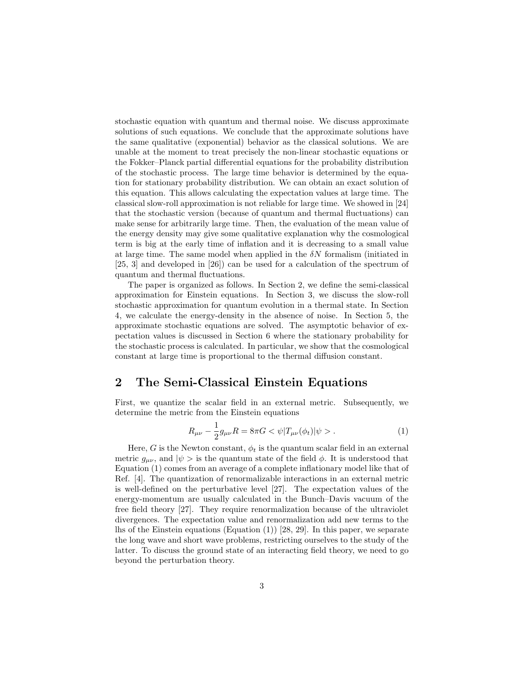stochastic equation with quantum and thermal noise. We discuss approximate solutions of such equations. We conclude that the approximate solutions have the same qualitative (exponential) behavior as the classical solutions. We are unable at the moment to treat precisely the non-linear stochastic equations or the Fokker–Planck partial differential equations for the probability distribution of the stochastic process. The large time behavior is determined by the equation for stationary probability distribution. We can obtain an exact solution of this equation. This allows calculating the expectation values at large time. The classical slow-roll approximation is not reliable for large time. We showed in [24] that the stochastic version (because of quantum and thermal fluctuations) can make sense for arbitrarily large time. Then, the evaluation of the mean value of the energy density may give some qualitative explanation why the cosmological term is big at the early time of inflation and it is decreasing to a small value at large time. The same model when applied in the  $\delta N$  formalism (initiated in [25, 3] and developed in [26]) can be used for a calculation of the spectrum of quantum and thermal fluctuations.

The paper is organized as follows. In Section 2, we define the semi-classical approximation for Einstein equations. In Section 3, we discuss the slow-roll stochastic approximation for quantum evolution in a thermal state. In Section 4, we calculate the energy-density in the absence of noise. In Section 5, the approximate stochastic equations are solved. The asymptotic behavior of expectation values is discussed in Section 6 where the stationary probability for the stochastic process is calculated. In particular, we show that the cosmological constant at large time is proportional to the thermal diffusion constant.

### 2 The Semi-Classical Einstein Equations

First, we quantize the scalar field in an external metric. Subsequently, we determine the metric from the Einstein equations

$$
R_{\mu\nu} - \frac{1}{2}g_{\mu\nu}R = 8\pi G < \psi|T_{\mu\nu}(\phi_t)|\psi > . \tag{1}
$$

Here, G is the Newton constant,  $\phi_t$  is the quantum scalar field in an external metric  $g_{\mu\nu}$ , and  $|\psi\rangle$  is the quantum state of the field  $\phi$ . It is understood that Equation (1) comes from an average of a complete inflationary model like that of Ref. [4]. The quantization of renormalizable interactions in an external metric is well-defined on the perturbative level [27]. The expectation values of the energy-momentum are usually calculated in the Bunch–Davis vacuum of the free field theory [27]. They require renormalization because of the ultraviolet divergences. The expectation value and renormalization add new terms to the lhs of the Einstein equations (Equation (1)) [28, 29]. In this paper, we separate the long wave and short wave problems, restricting ourselves to the study of the latter. To discuss the ground state of an interacting field theory, we need to go beyond the perturbation theory.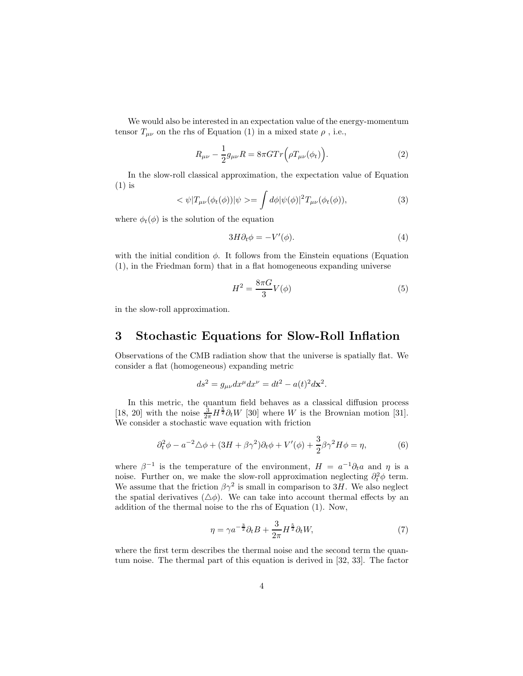We would also be interested in an expectation value of the energy-momentum tensor  $T_{\mu\nu}$  on the rhs of Equation (1) in a mixed state  $\rho$ , i.e.,

$$
R_{\mu\nu} - \frac{1}{2}g_{\mu\nu}R = 8\pi G Tr(\rho T_{\mu\nu}(\phi_t)).
$$
\n(2)

In the slow-roll classical approximation, the expectation value of Equation (1) is

$$
\langle \psi | T_{\mu\nu}(\phi_t(\phi)) | \psi \rangle = \int d\phi |\psi(\phi)|^2 T_{\mu\nu}(\phi_t(\phi)), \tag{3}
$$

where  $\phi_t(\phi)$  is the solution of the equation

$$
3H\partial_t \phi = -V'(\phi). \tag{4}
$$

with the initial condition  $\phi$ . It follows from the Einstein equations (Equation (1), in the Friedman form) that in a flat homogeneous expanding universe

$$
H^2 = \frac{8\pi G}{3}V(\phi) \tag{5}
$$

in the slow-roll approximation.

#### 3 Stochastic Equations for Slow-Roll Inflation

Observations of the CMB radiation show that the universe is spatially flat. We consider a flat (homogeneous) expanding metric

$$
ds^2 = g_{\mu\nu}dx^{\mu}dx^{\nu} = dt^2 - a(t)^2 d\mathbf{x}^2.
$$

In this metric, the quantum field behaves as a classical diffusion process [18, 20] with the noise  $\frac{3}{2\pi}H^{\frac{5}{2}}\partial_tW$  [30] where W is the Brownian motion [31]. We consider a stochastic wave equation with friction

$$
\partial_t^2 \phi - a^{-2} \triangle \phi + (3H + \beta \gamma^2) \partial_t \phi + V'(\phi) + \frac{3}{2} \beta \gamma^2 H \phi = \eta,
$$
 (6)

where  $\beta^{-1}$  is the temperature of the environment,  $H = a^{-1}\partial_t a$  and  $\eta$  is a noise. Further on, we make the slow-roll approximation neglecting  $\partial_t^2 \phi$  term. We assume that the friction  $\beta \gamma^2$  is small in comparison to 3H. We also neglect the spatial derivatives  $(\triangle \phi)$ . We can take into account thermal effects by an addition of the thermal noise to the rhs of Equation (1). Now,

$$
\eta = \gamma a^{-\frac{3}{2}} \partial_t B + \frac{3}{2\pi} H^{\frac{5}{2}} \partial_t W,\tag{7}
$$

where the first term describes the thermal noise and the second term the quantum noise. The thermal part of this equation is derived in [32, 33]. The factor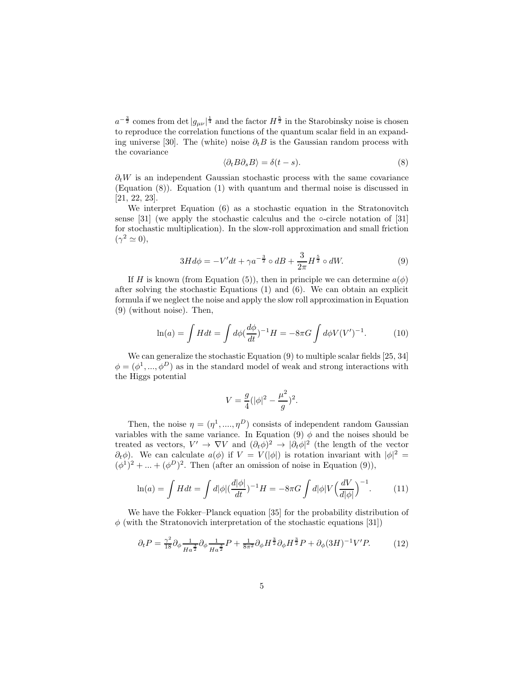$a^{-\frac{3}{2}}$  comes from det  $|g_{\mu\nu}|^{\frac{1}{4}}$  and the factor  $H^{\frac{5}{2}}$  in the Starobinsky noise is chosen to reproduce the correlation functions of the quantum scalar field in an expanding universe [30]. The (white) noise  $\partial_t B$  is the Gaussian random process with the covariance

$$
\langle \partial_t B \partial_s B \rangle = \delta(t - s). \tag{8}
$$

 $\partial_t W$  is an independent Gaussian stochastic process with the same covariance (Equation (8)). Equation (1) with quantum and thermal noise is discussed in [21, 22, 23].

We interpret Equation (6) as a stochastic equation in the Stratonovitch sense  $[31]$  (we apply the stochastic calculus and the ∘-circle notation of  $[31]$ for stochastic multiplication). In the slow-roll approximation and small friction  $(\gamma^2 \simeq 0),$ 

$$
3Hd\phi = -V'dt + \gamma a^{-\frac{3}{2}} \circ dB + \frac{3}{2\pi} H^{\frac{5}{2}} \circ dW.
$$
 (9)

If H is known (from Equation (5)), then in principle we can determine  $a(\phi)$ after solving the stochastic Equations (1) and (6). We can obtain an explicit formula if we neglect the noise and apply the slow roll approximation in Equation (9) (without noise). Then,

$$
\ln(a) = \int H dt = \int d\phi \left(\frac{d\phi}{dt}\right)^{-1} H = -8\pi G \int d\phi V (V')^{-1}.
$$
 (10)

We can generalize the stochastic Equation (9) to multiple scalar fields [25, 34]  $\phi = (\phi^1, ..., \phi^D)$  as in the standard model of weak and strong interactions with the Higgs potential

$$
V = \frac{g}{4}(|\phi|^2 - \frac{\mu^2}{g})^2.
$$

Then, the noise  $\eta = (\eta^1, ..., \eta^D)$  consists of independent random Gaussian variables with the same variance. In Equation (9)  $\phi$  and the noises should be treated as vectors,  $V' \to \nabla V$  and  $(\partial_t \phi)^2 \to |\partial_t \phi|^2$  (the length of the vector  $\partial_t \phi$ ). We can calculate  $a(\phi)$  if  $V = V(|\phi|)$  is rotation invariant with  $|\phi|^2 =$  $(\phi^1)^2 + ... + (\phi^D)^2$ . Then (after an omission of noise in Equation (9)),

$$
\ln(a) = \int H dt = \int d|\phi| \left(\frac{d|\phi|}{dt}\right)^{-1} H = -8\pi G \int d|\phi| V \left(\frac{dV}{d|\phi|}\right)^{-1}.
$$
 (11)

We have the Fokker–Planck equation [35] for the probability distribution of  $\phi$  (with the Stratonovich interpretation of the stochastic equations [31])

$$
\partial_t P = \frac{\gamma^2}{18} \partial_\phi \frac{1}{H a^{\frac{3}{2}}} \partial_\phi \frac{1}{H a^{\frac{3}{2}}} P + \frac{1}{8\pi^2} \partial_\phi H^{\frac{3}{2}} \partial_\phi H^{\frac{3}{2}} P + \partial_\phi (3H)^{-1} V' P. \tag{12}
$$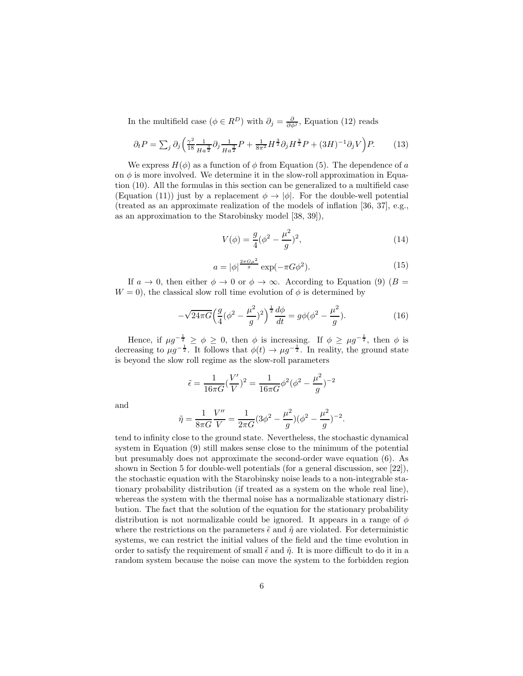In the multifield case ( $\phi \in R^D$ ) with  $\partial_j = \frac{\partial}{\partial \phi^j}$ , Equation (12) reads

$$
\partial_t P = \sum_j \partial_j \left( \frac{\gamma^2}{18} \frac{1}{H a^{\frac{3}{2}}} \partial_j \frac{1}{H a^{\frac{3}{2}}} P + \frac{1}{8\pi^2} H^{\frac{3}{2}} \partial_j H^{\frac{3}{2}} P + (3H)^{-1} \partial_j V \right) P. \tag{13}
$$

We express  $H(\phi)$  as a function of  $\phi$  from Equation (5). The dependence of a on  $\phi$  is more involved. We determine it in the slow-roll approximation in Equation (10). All the formulas in this section can be generalized to a multifield case (Equation (11)) just by a replacement  $\phi \rightarrow |\phi|$ . For the double-well potential (treated as an approximate realization of the models of inflation [36, 37], e.g., as an approximation to the Starobinsky model [38, 39]),

$$
V(\phi) = \frac{g}{4}(\phi^2 - \frac{\mu^2}{g})^2,
$$
\n(14)

$$
a = |\phi|^{\frac{2\pi G\mu^2}{g}} \exp(-\pi G\phi^2). \tag{15}
$$

If  $a \to 0$ , then either  $\phi \to 0$  or  $\phi \to \infty$ . According to Equation (9) (B =  $W = 0$ , the classical slow roll time evolution of  $\phi$  is determined by

$$
-\sqrt{24\pi G} \Big(\frac{g}{4}(\phi^2 - \frac{\mu^2}{g})^2\Big)^{\frac{1}{2}} \frac{d\phi}{dt} = g\phi(\phi^2 - \frac{\mu^2}{g}).\tag{16}
$$

Hence, if  $\mu g^{-\frac{1}{2}} \ge \phi \ge 0$ , then  $\phi$  is increasing. If  $\phi \ge \mu g^{-\frac{1}{2}}$ , then  $\phi$  is decreasing to  $\mu g^{-\frac{1}{2}}$ . It follows that  $\phi(t) \to \mu g^{-\frac{1}{2}}$ . In reality, the ground state is beyond the slow roll regime as the slow-roll parameters

$$
\tilde{\epsilon} = \frac{1}{16\pi G} (\frac{V'}{V})^2 = \frac{1}{16\pi G} \phi^2 (\phi^2 - \frac{\mu^2}{g})^{-2}
$$

and

$$
\tilde{\eta} = \frac{1}{8\pi G} \frac{V''}{V} = \frac{1}{2\pi G} (3\phi^2 - \frac{\mu^2}{g})(\phi^2 - \frac{\mu^2}{g})^{-2}.
$$

tend to infinity close to the ground state. Nevertheless, the stochastic dynamical system in Equation (9) still makes sense close to the minimum of the potential but presumably does not approximate the second-order wave equation (6). As shown in Section 5 for double-well potentials (for a general discussion, see [22]), the stochastic equation with the Starobinsky noise leads to a non-integrable stationary probability distribution (if treated as a system on the whole real line), whereas the system with the thermal noise has a normalizable stationary distribution. The fact that the solution of the equation for the stationary probability distribution is not normalizable could be ignored. It appears in a range of  $\phi$ where the restrictions on the parameters  $\tilde{\epsilon}$  and  $\tilde{\eta}$  are violated. For deterministic systems, we can restrict the initial values of the field and the time evolution in order to satisfy the requirement of small  $\tilde{\epsilon}$  and  $\tilde{\eta}$ . It is more difficult to do it in a random system because the noise can move the system to the forbidden region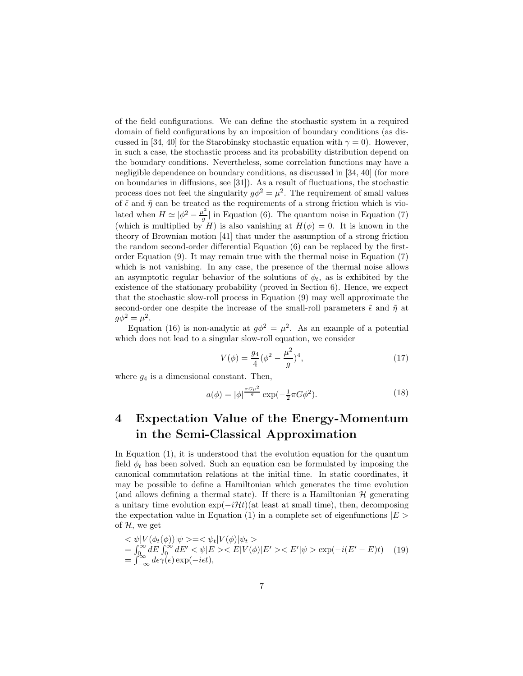of the field configurations. We can define the stochastic system in a required domain of field configurations by an imposition of boundary conditions (as discussed in [34, 40] for the Starobinsky stochastic equation with  $\gamma = 0$ ). However, in such a case, the stochastic process and its probability distribution depend on the boundary conditions. Nevertheless, some correlation functions may have a negligible dependence on boundary conditions, as discussed in [34, 40] (for more on boundaries in diffusions, see [31]). As a result of fluctuations, the stochastic process does not feel the singularity  $g\phi^2 = \mu^2$ . The requirement of small values of  $\tilde{\epsilon}$  and  $\tilde{\eta}$  can be treated as the requirements of a strong friction which is violated when  $H \simeq |\phi^2 - \frac{\mu^2}{g}|$  $\frac{a}{g}$  in Equation (6). The quantum noise in Equation (7) (which is multiplied by H) is also vanishing at  $H(\phi) = 0$ . It is known in the theory of Brownian motion [41] that under the assumption of a strong friction the random second-order differential Equation (6) can be replaced by the firstorder Equation (9). It may remain true with the thermal noise in Equation (7) which is not vanishing. In any case, the presence of the thermal noise allows an asymptotic regular behavior of the solutions of  $\phi_t$ , as is exhibited by the existence of the stationary probability (proved in Section 6). Hence, we expect that the stochastic slow-roll process in Equation (9) may well approximate the second-order one despite the increase of the small-roll parameters  $\tilde{\epsilon}$  and  $\tilde{\eta}$  at  $g\phi^2 = \mu^2$ .

Equation (16) is non-analytic at  $g\phi^2 = \mu^2$ . As an example of a potential which does not lead to a singular slow-roll equation, we consider

$$
V(\phi) = \frac{g_4}{4} (\phi^2 - \frac{\mu^2}{g})^4,
$$
\n(17)

where  $g_4$  is a dimensional constant. Then,

$$
a(\phi) = |\phi|^{\frac{\pi G \mu^2}{g}} \exp(-\frac{1}{2}\pi G \phi^2). \tag{18}
$$

### 4 Expectation Value of the Energy-Momentum in the Semi-Classical Approximation

In Equation (1), it is understood that the evolution equation for the quantum field  $\phi_t$  has been solved. Such an equation can be formulated by imposing the canonical commutation relations at the initial time. In static coordinates, it may be possible to define a Hamiltonian which generates the time evolution (and allows defining a thermal state). If there is a Hamiltonian  $\mathcal{H}$  generating a unitary time evolution  $\exp(-i\mathcal{H}t)$  (at least at small time), then, decomposing the expectation value in Equation (1) in a complete set of eigenfunctions  $|E\rangle$ of  $H$ , we get

$$
\langle \psi | V(\phi_t(\phi)) | \psi \rangle = \langle \psi_t | V(\phi) | \psi_t \rangle
$$
  
=  $\int_0^\infty dE \int_0^\infty dE' \langle \psi | E \rangle \langle E | V(\phi) | E' \rangle \langle E' | \psi \rangle \langle \exp(-i(E' - E)t) \rangle$  (19)  
=  $\int_{-\infty}^\infty d\epsilon \gamma(\epsilon) \exp(-i\epsilon t),$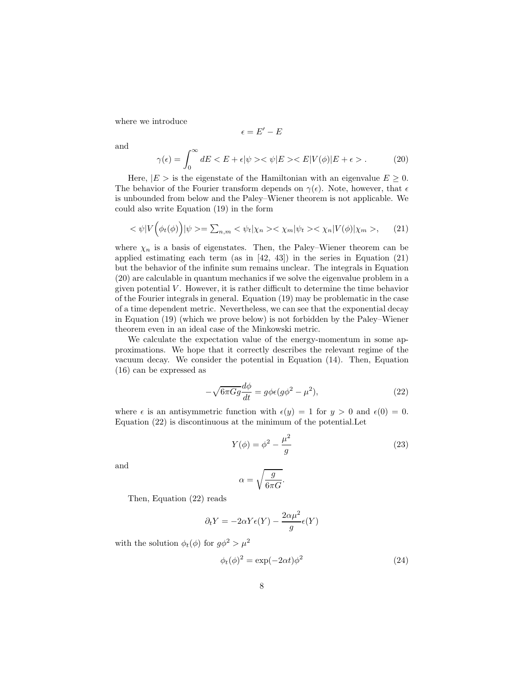where we introduce

$$
\epsilon = E' - E
$$

and

$$
\gamma(\epsilon) = \int_0^\infty dE < E + \epsilon |\psi\rangle < \psi |E\rangle < E|V(\phi)|E + \epsilon\rangle. \tag{20}
$$

Here,  $|E\rangle$  is the eigenstate of the Hamiltonian with an eigenvalue  $E \geq 0$ . The behavior of the Fourier transform depends on  $\gamma(\epsilon)$ . Note, however, that  $\epsilon$ is unbounded from below and the Paley–Wiener theorem is not applicable. We could also write Equation (19) in the form

$$
\langle \psi | V(\phi_t(\phi)) | \psi \rangle = \sum_{n,m} \langle \psi_t | \chi_n \rangle \langle \chi_m | \psi_t \rangle \langle \chi_n | V(\phi) | \chi_m \rangle, \tag{21}
$$

where  $\chi_n$  is a basis of eigenstates. Then, the Paley–Wiener theorem can be applied estimating each term (as in [42, 43]) in the series in Equation (21) but the behavior of the infinite sum remains unclear. The integrals in Equation (20) are calculable in quantum mechanics if we solve the eigenvalue problem in a given potential V . However, it is rather difficult to determine the time behavior of the Fourier integrals in general. Equation (19) may be problematic in the case of a time dependent metric. Nevertheless, we can see that the exponential decay in Equation (19) (which we prove below) is not forbidden by the Paley–Wiener theorem even in an ideal case of the Minkowski metric.

We calculate the expectation value of the energy-momentum in some approximations. We hope that it correctly describes the relevant regime of the vacuum decay. We consider the potential in Equation (14). Then, Equation (16) can be expressed as

$$
-\sqrt{6\pi Gg}\frac{d\phi}{dt} = g\phi\epsilon(g\phi^2 - \mu^2),\tag{22}
$$

where  $\epsilon$  is an antisymmetric function with  $\epsilon(y) = 1$  for  $y > 0$  and  $\epsilon(0) = 0$ . Equation (22) is discontinuous at the minimum of the potential.Let

$$
Y(\phi) = \phi^2 - \frac{\mu^2}{g} \tag{23}
$$

and

$$
\alpha = \sqrt{\frac{g}{6\pi G}}.
$$

Then, Equation (22) reads

$$
\partial_t Y = -2\alpha Y \epsilon(Y) - \frac{2\alpha \mu^2}{g} \epsilon(Y)
$$

with the solution  $\phi_t(\phi)$  for  $g\phi^2 > \mu^2$ 

$$
\phi_t(\phi)^2 = \exp(-2\alpha t)\phi^2 \tag{24}
$$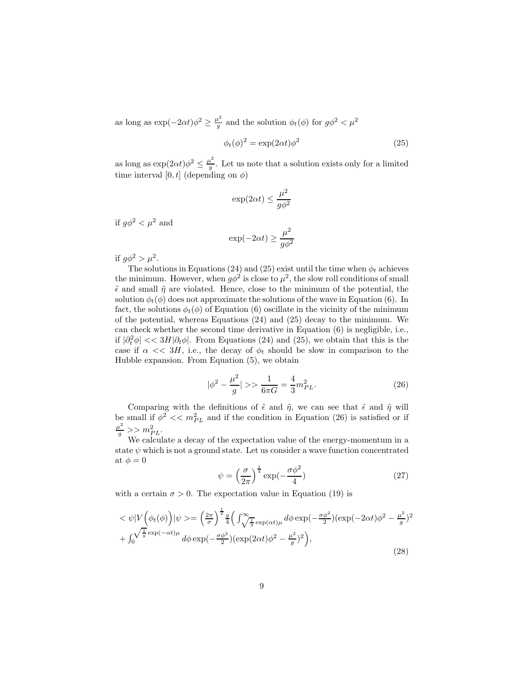as long as  $\exp(-2\alpha t)\phi^2 \geq \frac{\mu^2}{g}$  $\frac{u^2}{g}$  and the solution  $\phi_t(\phi)$  for  $g\phi^2 < \mu^2$ 

$$
\phi_t(\phi)^2 = \exp(2\alpha t)\phi^2 \tag{25}
$$

as long as  $\exp(2\alpha t)\phi^2 \leq \frac{\mu^2}{g}$  $\frac{d}{g}$ . Let us note that a solution exists only for a limited time interval [0, t] (depending on  $\phi$ )

$$
\exp(2\alpha t) \leq \frac{\mu^2}{g\phi^2}
$$

if  $q\phi^2 < \mu^2$  and

$$
\exp(-2\alpha t) \ge \frac{\mu^2}{g\phi^2}
$$

if  $g\phi^2 > \mu^2$ .

The solutions in Equations (24) and (25) exist until the time when  $\phi_t$  achieves the minimum. However, when  $g\phi^2$  is close to  $\mu^2$ , the slow roll conditions of small  $\tilde{\epsilon}$  and small  $\tilde{\eta}$  are violated. Hence, close to the minimum of the potential, the solution  $\phi_t(\phi)$  does not approximate the solutions of the wave in Equation (6). In fact, the solutions  $\phi_t(\phi)$  of Equation (6) oscillate in the vicinity of the minimum of the potential, whereas Equations (24) and (25) decay to the minimum. We can check whether the second time derivative in Equation  $(6)$  is negligible, i.e., if  $|\partial_t^2 \phi|$  << 3H $|\partial_t \phi|$ . From Equations (24) and (25), we obtain that this is the case if  $\alpha \ll 3H$ , i.e., the decay of  $\phi_t$  should be slow in comparison to the Hubble expansion. From Equation (5), we obtain

$$
|\phi^2 - \frac{\mu^2}{g}| >> \frac{1}{6\pi G} = \frac{4}{3}m_{PL}^2.
$$
 (26)

Comparing with the definitions of  $\tilde{\epsilon}$  and  $\tilde{\eta}$ , we can see that  $\tilde{\epsilon}$  and  $\tilde{\eta}$  will be small if  $\phi^2 \ll m_{PL}^2$  and if the condition in Equation (26) is satisfied or if  $\frac{\mu^2}{g} >> m_{PL}^2$ .

We calculate a decay of the expectation value of the energy-momentum in a state  $\psi$  which is not a ground state. Let us consider a wave function concentrated at  $\phi = 0$ 

$$
\psi = \left(\frac{\sigma}{2\pi}\right)^{\frac{1}{4}} \exp\left(-\frac{\sigma\phi^2}{4}\right) \tag{27}
$$

with a certain  $\sigma > 0$ . The expectation value in Equation (19) is

$$
\langle \psi | V \Big( \phi_t(\phi) \Big) | \psi \rangle = \left( \frac{2\pi}{\sigma} \right)^{\frac{1}{2}} \frac{q}{4} \Big( \int_{\sqrt{\frac{1}{g}} \exp(\alpha t) \mu}^{\infty} d\phi \exp(-\frac{\sigma \phi^2}{2}) (\exp(-2\alpha t) \phi^2 - \frac{\mu^2}{g})^2 + \int_0^{\sqrt{\frac{1}{g}} \exp(-\alpha t) \mu} d\phi \exp(-\frac{\sigma \phi^2}{2}) (\exp(2\alpha t) \phi^2 - \frac{\mu^2}{g})^2 \Big), \tag{28}
$$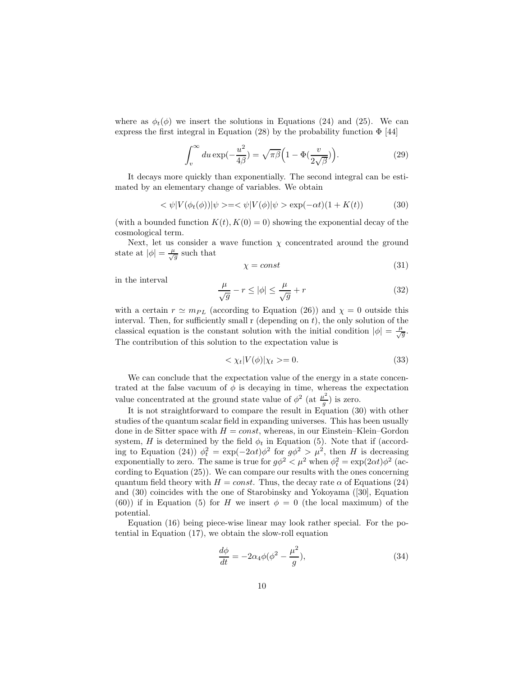where as  $\phi_t(\phi)$  we insert the solutions in Equations (24) and (25). We can express the first integral in Equation (28) by the probability function  $\Phi$  [44]

$$
\int_{v}^{\infty} du \exp(-\frac{u^2}{4\beta}) = \sqrt{\pi \beta} \Big( 1 - \Phi(\frac{v}{2\sqrt{\beta}}) \Big). \tag{29}
$$

It decays more quickly than exponentially. The second integral can be estimated by an elementary change of variables. We obtain

$$
\langle \psi | V(\phi_t(\phi)) | \psi \rangle = \langle \psi | V(\phi) | \psi \rangle = \exp(-\alpha t)(1 + K(t)) \tag{30}
$$

(with a bounded function  $K(t)$ ,  $K(0) = 0$ ) showing the exponential decay of the cosmological term.

Next, let us consider a wave function  $\chi$  concentrated around the ground state at  $|\phi| = \frac{\mu}{\sqrt{g}}$  such that

$$
\chi = const \tag{31}
$$

in the interval

$$
\frac{\mu}{\sqrt{g}} - r \le |\phi| \le \frac{\mu}{\sqrt{g}} + r \tag{32}
$$

with a certain  $r \simeq m_{PL}$  (according to Equation (26)) and  $\chi = 0$  outside this interval. Then, for sufficiently small  $r$  (depending on  $t$ ), the only solution of the classical equation is the constant solution with the initial condition  $|\phi| = \frac{\mu}{\sqrt{g}}$ . The contribution of this solution to the expectation value is

$$
\langle \chi_t | V(\phi) | \chi_t \rangle = 0. \tag{33}
$$

We can conclude that the expectation value of the energy in a state concentrated at the false vacuum of  $\phi$  is decaying in time, whereas the expectation value concentrated at the ground state value of  $\phi^2$  (at  $\frac{\mu^2}{g}$  $\frac{a}{g}$ ) is zero.

It is not straightforward to compare the result in Equation (30) with other studies of the quantum scalar field in expanding universes. This has been usually done in de Sitter space with  $H = const$ , whereas, in our Einstein–Klein–Gordon system, H is determined by the field  $\phi_t$  in Equation (5). Note that if (according to Equation (24))  $\phi_t^2 = \exp(-2\alpha t) \phi^2$  for  $g\phi^2 > \mu^2$ , then H is decreasing exponentially to zero. The same is true for  $g\phi^2 < \mu^2$  when  $\phi_t^2 = \exp(2\alpha t)\phi^2$  (according to Equation (25)). We can compare our results with the ones concerning quantum field theory with  $H = const.$  Thus, the decay rate  $\alpha$  of Equations (24) and (30) coincides with the one of Starobinsky and Yokoyama ([30], Equation (60)) if in Equation (5) for H we insert  $\phi = 0$  (the local maximum) of the potential.

Equation (16) being piece-wise linear may look rather special. For the potential in Equation (17), we obtain the slow-roll equation

$$
\frac{d\phi}{dt} = -2\alpha_4\phi(\phi^2 - \frac{\mu^2}{g}),\tag{34}
$$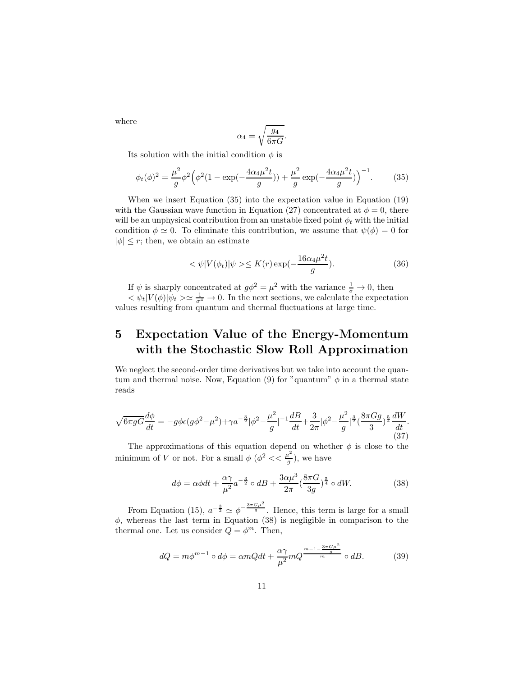$$
\alpha_4 = \sqrt{\frac{g_4}{6\pi G}}.
$$

Its solution with the initial condition  $\phi$  is

$$
\phi_t(\phi)^2 = \frac{\mu^2}{g} \phi^2 \Big( \phi^2 (1 - \exp(-\frac{4\alpha_4 \mu^2 t}{g})) + \frac{\mu^2}{g} \exp(-\frac{4\alpha_4 \mu^2 t}{g}) \Big)^{-1}.
$$
 (35)

When we insert Equation (35) into the expectation value in Equation (19) with the Gaussian wave function in Equation (27) concentrated at  $\phi = 0$ , there will be an unphysical contribution from an unstable fixed point  $\phi_t$  with the initial condition  $\phi \simeq 0$ . To eliminate this contribution, we assume that  $\psi(\phi) = 0$  for  $|\phi| \leq r$ ; then, we obtain an estimate

$$
\langle \psi | V(\phi_t) | \psi \rangle \le K(r) \exp(-\frac{16\alpha_4 \mu^2 t}{g}). \tag{36}
$$

If  $\psi$  is sharply concentrated at  $g\phi^2 = \mu^2$  with the variance  $\frac{1}{\sigma} \to 0$ , then

 $<\psi_t|V(\phi)|\psi_t>\simeq \frac{1}{\sigma^4}\to 0$ . In the next sections, we calculate the expectation values resulting from quantum and thermal fluctuations at large time.

## 5 Expectation Value of the Energy-Momentum with the Stochastic Slow Roll Approximation

We neglect the second-order time derivatives but we take into account the quantum and thermal noise. Now, Equation (9) for "quantum"  $\phi$  in a thermal state reads

$$
\sqrt{6\pi gG}\frac{d\phi}{dt} = -g\phi\epsilon(g\phi^2 - \mu^2) + \gamma a^{-\frac{3}{2}}|\phi^2 - \frac{\mu^2}{g}|^{-1}\frac{dB}{dt} + \frac{3}{2\pi}|\phi^2 - \frac{\mu^2}{g}|^{\frac{3}{2}}(\frac{8\pi Gg}{3})^{\frac{5}{4}}\frac{dW}{dt}.
$$
\n(37)

The approximations of this equation depend on whether  $\phi$  is close to the minimum of V or not. For a small  $\phi$  ( $\phi^2 \ll \frac{\mu^2}{g}$  $(\frac{\iota}{g})$ , we have

$$
d\phi = \alpha\phi dt + \frac{\alpha\gamma}{\mu^2} a^{-\frac{3}{2}} \circ dB + \frac{3\alpha\mu^3}{2\pi} \left(\frac{8\pi G}{3g}\right)^{\frac{5}{4}} \circ dW.
$$
 (38)

From Equation (15),  $a^{-\frac{3}{2}} \simeq \phi^{-\frac{3\pi G\mu^2}{g}}$ . Hence, this term is large for a small  $\phi$ , whereas the last term in Equation (38) is negligible in comparison to the thermal one. Let us consider  $Q = \phi^m$ . Then,

$$
dQ = m\phi^{m-1} \circ d\phi = \alpha mQdt + \frac{\alpha\gamma}{\mu^2} mQ^{\frac{m-1-\frac{3\pi G\mu^2}{g}}{m}} \circ dB.
$$
 (39)

where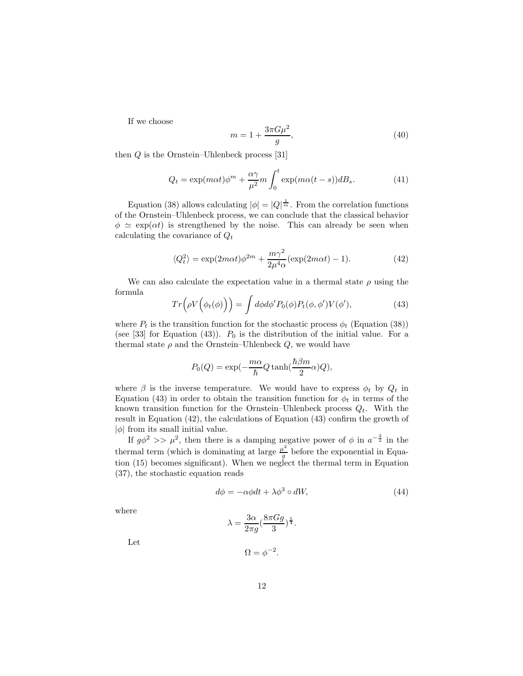If we choose

$$
m = 1 + \frac{3\pi G\mu^2}{g},\tag{40}
$$

then Q is the Ornstein–Uhlenbeck process [31]

$$
Q_t = \exp(m\alpha t)\phi^m + \frac{\alpha \gamma}{\mu^2}m \int_0^t \exp(m\alpha (t-s))dB_s.
$$
 (41)

Equation (38) allows calculating  $|\phi| = |Q|^{\frac{1}{m}}$ . From the correlation functions of the Ornstein–Uhlenbeck process, we can conclude that the classical behavior  $\phi \simeq \exp(\alpha t)$  is strengthened by the noise. This can already be seen when calculating the covariance of  $Q_t$ 

$$
\langle Q_t^2 \rangle = \exp(2m\alpha t)\phi^{2m} + \frac{m\gamma^2}{2\mu^4 \alpha} (\exp(2m\alpha t) - 1). \tag{42}
$$

We can also calculate the expectation value in a thermal state  $\rho$  using the formula

$$
Tr(\rho V(\phi_t(\phi))) = \int d\phi d\phi' P_0(\phi) P_t(\phi, \phi') V(\phi'), \qquad (43)
$$

where  $P_t$  is the transition function for the stochastic process  $\phi_t$  (Equation (38)) (see [33] for Equation (43)).  $P_0$  is the distribution of the initial value. For a thermal state  $\rho$  and the Ornstein–Uhlenbeck  $Q$ , we would have

$$
P_0(Q) = \exp(-\frac{m\alpha}{\hbar}Q\tanh(\frac{\hbar\beta m}{2}\alpha)Q),
$$

where  $\beta$  is the inverse temperature. We would have to express  $\phi_t$  by  $Q_t$  in Equation (43) in order to obtain the transition function for  $\phi_t$  in terms of the known transition function for the Ornstein–Uhlenbeck process  $Q_t$ . With the result in Equation (42), the calculations of Equation (43) confirm the growth of  $|\phi|$  from its small initial value.

If  $g\phi^2 >> \mu^2$ , then there is a damping negative power of  $\phi$  in  $a^{-\frac{3}{2}}$  in the thermal term (which is dominating at large  $\frac{\mu^2}{q}$  $\frac{u}{g}$  before the exponential in Equation (15) becomes significant). When we neglect the thermal term in Equation (37), the stochastic equation reads

$$
d\phi = -\alpha\phi dt + \lambda\phi^3 \circ dW,\tag{44}
$$

where

$$
\lambda=\frac{3\alpha}{2\pi g}(\frac{8\pi Gg}{3})^{\frac{5}{4}}.
$$

Let

$$
\Omega = \phi^{-2}.
$$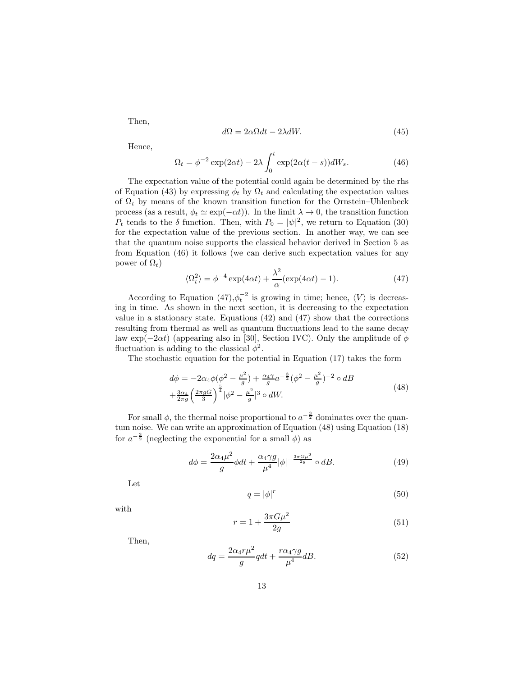Then,

$$
d\Omega = 2\alpha \Omega dt - 2\lambda dW. \tag{45}
$$

Hence,

$$
\Omega_t = \phi^{-2} \exp(2\alpha t) - 2\lambda \int_0^t \exp(2\alpha (t-s))dW_s.
$$
 (46)

The expectation value of the potential could again be determined by the rhs of Equation (43) by expressing  $\phi_t$  by  $\Omega_t$  and calculating the expectation values of  $\Omega_t$  by means of the known transition function for the Ornstein–Uhlenbeck process (as a result,  $\phi_t \simeq \exp(-\alpha t)$ ). In the limit  $\lambda \to 0$ , the transition function  $P_t$  tends to the  $\delta$  function. Then, with  $P_0 = |\psi|^2$ , we return to Equation (30) for the expectation value of the previous section. In another way, we can see that the quantum noise supports the classical behavior derived in Section 5 as from Equation (46) it follows (we can derive such expectation values for any power of  $\Omega_t$ )

$$
\langle \Omega_t^2 \rangle = \phi^{-4} \exp(4\alpha t) + \frac{\lambda^2}{\alpha} (\exp(4\alpha t) - 1). \tag{47}
$$

According to Equation  $(47)$ ,  $\phi_t^{-2}$  is growing in time; hence,  $\langle V \rangle$  is decreasing in time. As shown in the next section, it is decreasing to the expectation value in a stationary state. Equations  $(42)$  and  $(47)$  show that the corrections resulting from thermal as well as quantum fluctuations lead to the same decay law exp( $-2\alpha t$ ) (appearing also in [30], Section IVC). Only the amplitude of  $\phi$ fluctuation is adding to the classical  $\phi^2$ .

The stochastic equation for the potential in Equation (17) takes the form

$$
d\phi = -2\alpha_4 \phi (\phi^2 - \frac{\mu^2}{g}) + \frac{\alpha_4 \gamma}{g} a^{-\frac{3}{2}} (\phi^2 - \frac{\mu^2}{g})^{-2} \circ dB + \frac{3\alpha_4}{2\pi g} \left(\frac{2\pi g G}{3}\right)^{\frac{5}{4}} |\phi^2 - \frac{\mu^2}{g}|^3 \circ dW.
$$
 (48)

For small  $\phi$ , the thermal noise proportional to  $a^{-\frac{3}{2}}$  dominates over the quantum noise. We can write an approximation of Equation (48) using Equation (18) for  $a^{-\frac{3}{2}}$  (neglecting the exponential for a small  $\phi$ ) as

$$
d\phi = \frac{2\alpha_4\mu^2}{g}\phi dt + \frac{\alpha_4\gamma g}{\mu^4}|\phi|^{-\frac{3\pi G\mu^2}{2g}} \circ dB.
$$
 (49)

Let

$$
q = |\phi|^r \tag{50}
$$

with

$$
r = 1 + \frac{3\pi G\mu^2}{2g} \tag{51}
$$

Then,

$$
dq = \frac{2\alpha_4 r \mu^2}{g} q dt + \frac{r \alpha_4 \gamma g}{\mu^4} dB.
$$
\n(52)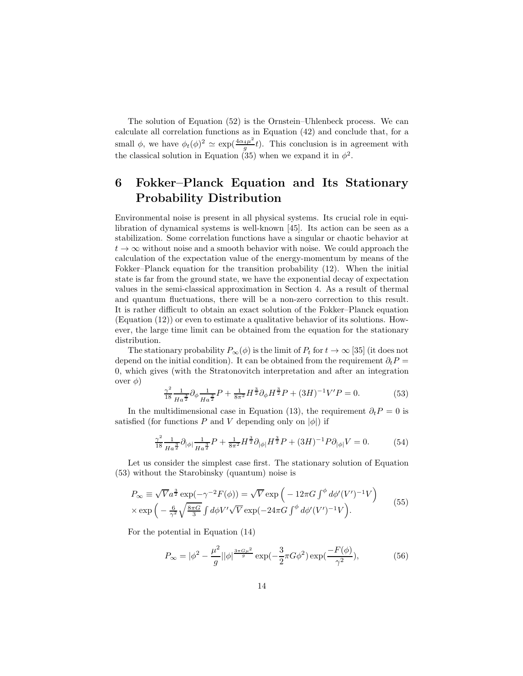The solution of Equation (52) is the Ornstein–Uhlenbeck process. We can calculate all correlation functions as in Equation (42) and conclude that, for a small  $\phi$ , we have  $\phi_t(\phi)^2 \simeq \exp(\frac{4\alpha_4\mu^2}{g})$  $\frac{4\mu}{g}t$ ). This conclusion is in agreement with the classical solution in Equation (35) when we expand it in  $\phi^2$ .

### 6 Fokker–Planck Equation and Its Stationary Probability Distribution

Environmental noise is present in all physical systems. Its crucial role in equilibration of dynamical systems is well-known [45]. Its action can be seen as a stabilization. Some correlation functions have a singular or chaotic behavior at  $t \to \infty$  without noise and a smooth behavior with noise. We could approach the calculation of the expectation value of the energy-momentum by means of the Fokker–Planck equation for the transition probability (12). When the initial state is far from the ground state, we have the exponential decay of expectation values in the semi-classical approximation in Section 4. As a result of thermal and quantum fluctuations, there will be a non-zero correction to this result. It is rather difficult to obtain an exact solution of the Fokker–Planck equation (Equation (12)) or even to estimate a qualitative behavior of its solutions. However, the large time limit can be obtained from the equation for the stationary distribution.

The stationary probability  $P_{\infty}(\phi)$  is the limit of  $P_t$  for  $t \to \infty$  [35] (it does not depend on the initial condition). It can be obtained from the requirement  $\partial_t P =$ 0, which gives (with the Stratonovitch interpretation and after an integration over  $\phi$ )

$$
\frac{\gamma^2}{18} \frac{1}{Ha^{\frac{3}{2}}} \partial_{\phi} \frac{1}{Ha^{\frac{3}{2}}} P + \frac{1}{8\pi^2} H^{\frac{3}{2}} \partial_{\phi} H^{\frac{3}{2}} P + (3H)^{-1} V' P = 0.
$$
 (53)

In the multidimensional case in Equation (13), the requirement  $\partial_t P = 0$  is satisfied (for functions P and V depending only on  $|\phi|$ ) if

$$
\frac{\gamma^2}{18} \frac{1}{H a^{\frac{3}{2}}} \partial_{|\phi|} \frac{1}{H a^{\frac{3}{2}}} P + \frac{1}{8\pi^2} H^{\frac{3}{2}} \partial_{|\phi|} H^{\frac{3}{2}} P + (3H)^{-1} P \partial_{|\phi|} V = 0.
$$
 (54)

Let us consider the simplest case first. The stationary solution of Equation (53) without the Starobinsky (quantum) noise is

$$
P_{\infty} \equiv \sqrt{V} a^{\frac{3}{2}} \exp(-\gamma^{-2} F(\phi)) = \sqrt{V} \exp\left(-12\pi G \int^{\phi} d\phi'(V')^{-1} V\right) \times \exp\left(-\frac{6}{\gamma^2} \sqrt{\frac{8\pi G}{3}} \int d\phi V' \sqrt{V} \exp(-24\pi G \int^{\phi} d\phi'(V')^{-1} V\right).
$$
 (55)

For the potential in Equation (14)

$$
P_{\infty} = |\phi^2 - \frac{\mu^2}{g}||\phi|^{\frac{3\pi G\mu^2}{g}} \exp(-\frac{3}{2}\pi G\phi^2) \exp(\frac{-F(\phi)}{\gamma^2}),
$$
 (56)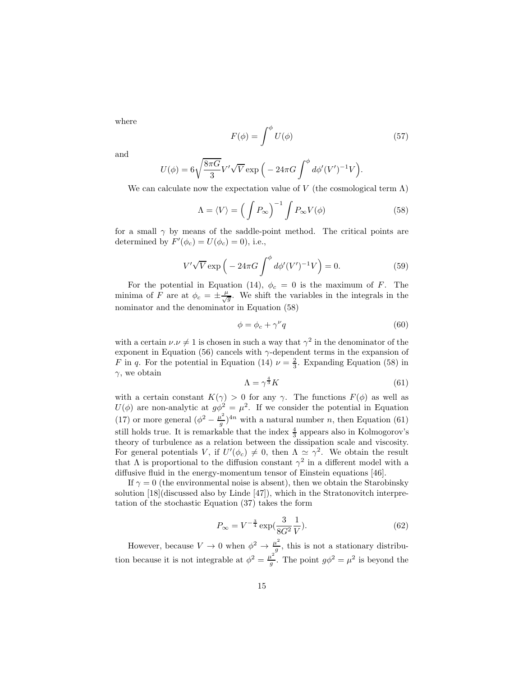where

$$
F(\phi) = \int^{\phi} U(\phi) \tag{57}
$$

and

$$
U(\phi) = 6\sqrt{\frac{8\pi G}{3}}V'\sqrt{V}\exp\Big(-24\pi G\int^{\phi}d\phi'(V')^{-1}V\Big).
$$

We can calculate now the expectation value of V (the cosmological term  $\Lambda$ )

$$
\Lambda = \langle V \rangle = \left( \int P_{\infty} \right)^{-1} \int P_{\infty} V(\phi) \tag{58}
$$

for a small  $\gamma$  by means of the saddle-point method. The critical points are determined by  $F'(\phi_c) = U(\phi_c) = 0)$ , i.e.,

$$
V'\sqrt{V}\exp\left(-24\pi G\int^{\phi}d\phi'(V')^{-1}V\right) = 0.
$$
 (59)

For the potential in Equation (14),  $\phi_c = 0$  is the maximum of F. The minima of F are at  $\phi_c = \pm \frac{\mu}{\sqrt{g}}$ . We shift the variables in the integrals in the nominator and the denominator in Equation (58)

$$
\phi = \phi_c + \gamma^\nu q \tag{60}
$$

with a certain  $\nu.\nu \neq 1$  is chosen in such a way that  $\gamma^2$  in the denominator of the exponent in Equation (56) cancels with  $\gamma$ -dependent terms in the expansion of F in q. For the potential in Equation (14)  $\nu = \frac{2}{3}$ . Expanding Equation (58) in  $\gamma$ , we obtain

$$
\Lambda = \gamma^{\frac{4}{3}} K \tag{61}
$$

with a certain constant  $K(\gamma) > 0$  for any  $\gamma$ . The functions  $F(\phi)$  as well as  $U(\phi)$  are non-analytic at  $g\phi^2 = \mu^2$ . If we consider the potential in Equation (17) or more general  $(\phi^2 - \frac{\mu^2}{g})$  $\frac{u^2}{g}$ <sup>2</sup>/<sup>4*n*</sup> with a natural number *n*, then Equation (61) still holds true. It is remarkable that the index  $\frac{4}{3}$  appears also in Kolmogorov's theory of turbulence as a relation between the dissipation scale and viscosity. For general potentials V, if  $U'(\phi_c) \neq 0$ , then  $\Lambda \simeq \gamma^2$ . We obtain the result that  $\Lambda$  is proportional to the diffusion constant  $\gamma^2$  in a different model with a diffusive fluid in the energy-momentum tensor of Einstein equations [46].

If  $\gamma = 0$  (the environmental noise is absent), then we obtain the Starobinsky solution [18](discussed also by Linde [47]), which in the Stratonovitch interpretation of the stochastic Equation (37) takes the form

$$
P_{\infty} = V^{-\frac{3}{4}} \exp(\frac{3}{8G^2} \frac{1}{V}).
$$
\n(62)

However, because  $V \to 0$  when  $\phi^2 \to \frac{\mu^2}{g}$  $\frac{u}{g}$ , this is not a stationary distribution because it is not integrable at  $\phi^2 = \frac{\mu^2}{g}$  $\frac{\mu^2}{g}$ . The point  $g\phi^2 = \mu^2$  is beyond the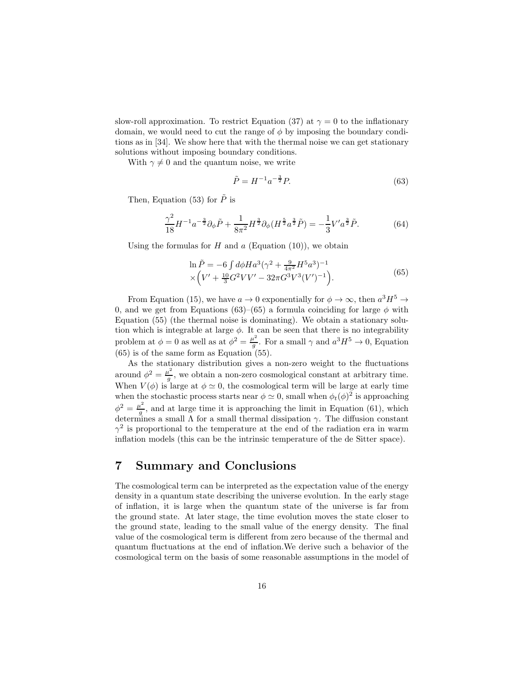slow-roll approximation. To restrict Equation (37) at  $\gamma = 0$  to the inflationary domain, we would need to cut the range of  $\phi$  by imposing the boundary conditions as in [34]. We show here that with the thermal noise we can get stationary solutions without imposing boundary conditions.

With  $\gamma \neq 0$  and the quantum noise, we write

$$
\tilde{P} = H^{-1}a^{-\frac{3}{2}}P.\t(63)
$$

Then, Equation (53) for  $\tilde{P}$  is

$$
\frac{\gamma^2}{18}H^{-1}a^{-\frac{3}{2}}\partial_{\phi}\tilde{P} + \frac{1}{8\pi^2}H^{\frac{3}{2}}\partial_{\phi}(H^{\frac{5}{2}}a^{\frac{3}{2}}\tilde{P}) = -\frac{1}{3}V'a^{\frac{3}{2}}\tilde{P}.
$$
 (64)

Using the formulas for  $H$  and  $a$  (Equation (10)), we obtain

$$
\ln \tilde{P} = -6 \int d\phi H a^3 (\gamma^2 + \frac{9}{4\pi^2} H^5 a^3)^{-1} \times \left( V' + \frac{10}{3} G^2 V V' - 32\pi G^3 V^3 (V')^{-1} \right). \tag{65}
$$

From Equation (15), we have  $a \to 0$  exponentially for  $\phi \to \infty$ , then  $a^3H^5 \to \infty$ 0, and we get from Equations (63)–(65) a formula coinciding for large  $\phi$  with Equation (55) (the thermal noise is dominating). We obtain a stationary solution which is integrable at large  $\phi$ . It can be seen that there is no integrability problem at  $\phi = 0$  as well as at  $\phi^2 = \frac{\mu^2}{g}$  $\frac{u^2}{g}$ . For a small  $\gamma$  and  $a^3H^5 \to 0$ , Equation  $(65)$  is of the same form as Equation  $(55)$ .

As the stationary distribution gives a non-zero weight to the fluctuations around  $\phi^2 = \frac{\mu^2}{g}$  $\frac{d^2}{g}$ , we obtain a non-zero cosmological constant at arbitrary time. When  $V(\phi)$  is large at  $\phi \simeq 0$ , the cosmological term will be large at early time when the stochastic process starts near  $\phi \simeq 0$ , small when  $\phi_t(\phi)^2$  is approaching  $\phi^2 = \frac{\mu^2}{g}$ , and at large time it is approaching the limit in Equation (61), which  $\varphi = g$ , and at large time it is approaching the fifthermal dissipation (01), which determines a small  $\Lambda$  for a small thermal dissipation  $\gamma$ . The diffusion constant  $\gamma^2$  is proportional to the temperature at the end of the radiation era in warm inflation models (this can be the intrinsic temperature of the de Sitter space).

#### 7 Summary and Conclusions

The cosmological term can be interpreted as the expectation value of the energy density in a quantum state describing the universe evolution. In the early stage of inflation, it is large when the quantum state of the universe is far from the ground state. At later stage, the time evolution moves the state closer to the ground state, leading to the small value of the energy density. The final value of the cosmological term is different from zero because of the thermal and quantum fluctuations at the end of inflation.We derive such a behavior of the cosmological term on the basis of some reasonable assumptions in the model of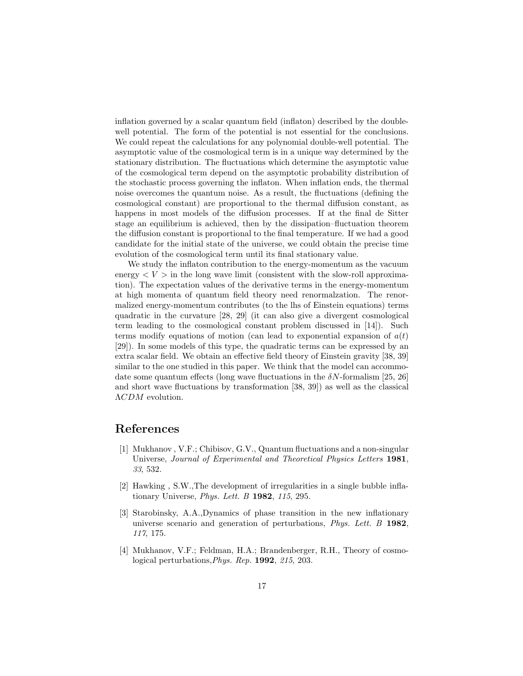inflation governed by a scalar quantum field (inflaton) described by the doublewell potential. The form of the potential is not essential for the conclusions. We could repeat the calculations for any polynomial double-well potential. The asymptotic value of the cosmological term is in a unique way determined by the stationary distribution. The fluctuations which determine the asymptotic value of the cosmological term depend on the asymptotic probability distribution of the stochastic process governing the inflaton. When inflation ends, the thermal noise overcomes the quantum noise. As a result, the fluctuations (defining the cosmological constant) are proportional to the thermal diffusion constant, as happens in most models of the diffusion processes. If at the final de Sitter stage an equilibrium is achieved, then by the dissipation–fluctuation theorem the diffusion constant is proportional to the final temperature. If we had a good candidate for the initial state of the universe, we could obtain the precise time evolution of the cosmological term until its final stationary value.

We study the inflaton contribution to the energy-momentum as the vacuum energy  $\lt V >$  in the long wave limit (consistent with the slow-roll approximation). The expectation values of the derivative terms in the energy-momentum at high momenta of quantum field theory need renormalzation. The renormalized energy-momentum contributes (to the lhs of Einstein equations) terms quadratic in the curvature [28, 29] (it can also give a divergent cosmological term leading to the cosmological constant problem discussed in [14]). Such terms modify equations of motion (can lead to exponential expansion of  $a(t)$ ) [29]). In some models of this type, the quadratic terms can be expressed by an extra scalar field. We obtain an effective field theory of Einstein gravity [38, 39] similar to the one studied in this paper. We think that the model can accommodate some quantum effects (long wave fluctuations in the  $\delta N$ -formalism [25, 26] and short wave fluctuations by transformation [38, 39]) as well as the classical ΛCDM evolution.

### References

- [1] Mukhanov , V.F.; Chibisov, G.V., Quantum fluctuations and a non-singular Universe, Journal of Experimental and Theoretical Physics Letters 1981, 33, 532.
- [2] Hawking , S.W.,The development of irregularities in a single bubble inflationary Universe, *Phys. Lett. B* 1982, 115, 295.
- [3] Starobinsky, A.A.,Dynamics of phase transition in the new inflationary universe scenario and generation of perturbations, *Phys. Lett. B* 1982, 117, 175.
- [4] Mukhanov, V.F.; Feldman, H.A.; Brandenberger, R.H., Theory of cosmological perturbations,Phys. Rep. 1992, 215, 203.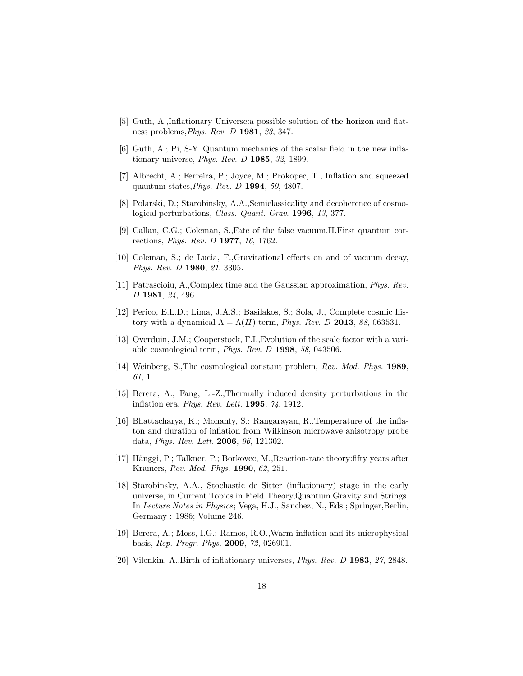- [5] Guth, A.,Inflationary Universe:a possible solution of the horizon and flatness problems,Phys. Rev. D 1981, 23, 347.
- [6] Guth, A.; Pi, S-Y.,Quantum mechanics of the scalar field in the new inflationary universe, Phys. Rev. D 1985, 32, 1899.
- [7] Albrecht, A.; Ferreira, P.; Joyce, M.; Prokopec, T., Inflation and squeezed quantum states, Phys. Rev. D 1994, 50, 4807.
- [8] Polarski, D.; Starobinsky, A.A.,Semiclassicality and decoherence of cosmological perturbations, *Class. Quant. Grav.* **1996**, 13, 377.
- [9] Callan, C.G.; Coleman, S.,Fate of the false vacuum.II.First quantum corrections, *Phys. Rev. D* **1977**, 16, 1762.
- [10] Coleman, S.; de Lucia, F.,Gravitational effects on and of vacuum decay, Phys. Rev. D 1980, 21, 3305.
- [11] Patrascioiu, A.,Complex time and the Gaussian approximation, Phys. Rev. D 1981, 24, 496.
- [12] Perico, E.L.D.; Lima, J.A.S.; Basilakos, S.; Sola, J., Complete cosmic history with a dynamical  $\Lambda = \Lambda(H)$  term, *Phys. Rev. D* 2013, 88, 063531.
- [13] Overduin, J.M.; Cooperstock, F.I.,Evolution of the scale factor with a variable cosmological term, Phys. Rev. D 1998, 58, 043506.
- [14] Weinberg, S.,The cosmological constant problem, Rev. Mod. Phys. 1989, 61, 1.
- [15] Berera, A.; Fang, L.-Z.,Thermally induced density perturbations in the inflation era, Phys. Rev. Lett. 1995, 74, 1912.
- [16] Bhattacharya, K.; Mohanty, S.; Rangarayan, R.,Temperature of the inflaton and duration of inflation from Wilkinson microwave anisotropy probe data, Phys. Rev. Lett. 2006, 96, 121302.
- [17] Hänggi, P.; Talkner, P.; Borkovec, M., Reaction-rate theory: fifty years after Kramers, Rev. Mod. Phys. 1990, 62, 251.
- [18] Starobinsky, A.A., Stochastic de Sitter (inflationary) stage in the early universe, in Current Topics in Field Theory,Quantum Gravity and Strings. In Lecture Notes in Physics; Vega, H.J., Sanchez, N., Eds.; Springer,Berlin, Germany : 1986; Volume 246.
- [19] Berera, A.; Moss, I.G.; Ramos, R.O.,Warm inflation and its microphysical basis, Rep. Progr. Phys. 2009, 72, 026901.
- [20] Vilenkin, A.,Birth of inflationary universes, Phys. Rev. D 1983, 27, 2848.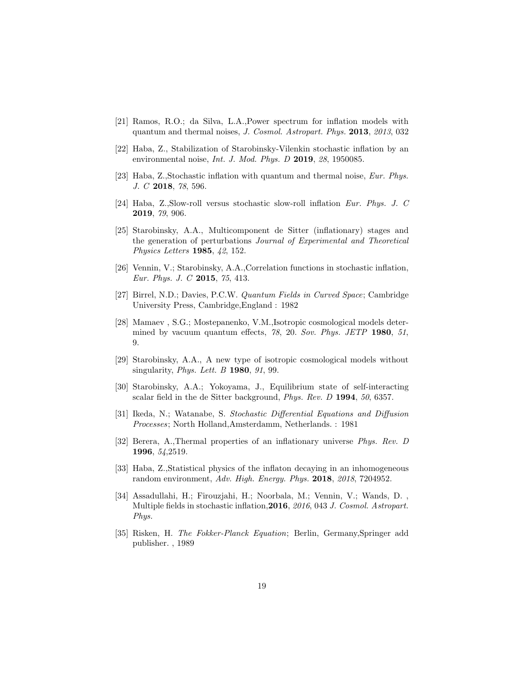- [21] Ramos, R.O.; da Silva, L.A.,Power spectrum for inflation models with quantum and thermal noises, J. Cosmol. Astropart. Phys. 2013, 2013, 032
- [22] Haba, Z., Stabilization of Starobinsky-Vilenkin stochastic inflation by an environmental noise, *Int. J. Mod. Phys. D* 2019, 28, 1950085.
- [23] Haba, Z.,Stochastic inflation with quantum and thermal noise, Eur. Phys. J. C 2018, 78, 596.
- [24] Haba, Z.,Slow-roll versus stochastic slow-roll inflation Eur. Phys. J. C 2019, 79, 906.
- [25] Starobinsky, A.A., Multicomponent de Sitter (inflationary) stages and the generation of perturbations Journal of Experimental and Theoretical Physics Letters 1985, 42, 152.
- [26] Vennin, V.; Starobinsky, A.A.,Correlation functions in stochastic inflation, Eur. Phys. J. C 2015, 75, 413.
- [27] Birrel, N.D.; Davies, P.C.W. Quantum Fields in Curved Space; Cambridge University Press, Cambridge,England : 1982
- [28] Mamaev , S.G.; Mostepanenko, V.M.,Isotropic cosmological models determined by vacuum quantum effects, 78, 20. Sov. Phys. JETP 1980, 51, 9.
- [29] Starobinsky, A.A., A new type of isotropic cosmological models without singularity, *Phys. Lett. B* **1980**, *91*, 99.
- [30] Starobinsky, A.A.; Yokoyama, J., Equilibrium state of self-interacting scalar field in the de Sitter background, *Phys. Rev. D* 1994, 50, 6357.
- [31] Ikeda, N.; Watanabe, S. Stochastic Differential Equations and Diffusion Processes; North Holland,Amsterdamm, Netherlands. : 1981
- [32] Berera, A.,Thermal properties of an inflationary universe Phys. Rev. D 1996, 54,2519.
- [33] Haba, Z.,Statistical physics of the inflaton decaying in an inhomogeneous random environment, Adv. High. Energy. Phys. 2018, 2018, 7204952.
- [34] Assadullahi, H.; Firouzjahi, H.; Noorbala, M.; Vennin, V.; Wands, D. , Multiple fields in stochastic inflation, 2016, 2016, 043 J. Cosmol. Astropart. Phys.
- [35] Risken, H. The Fokker-Planck Equation; Berlin, Germany,Springer add publisher. , 1989